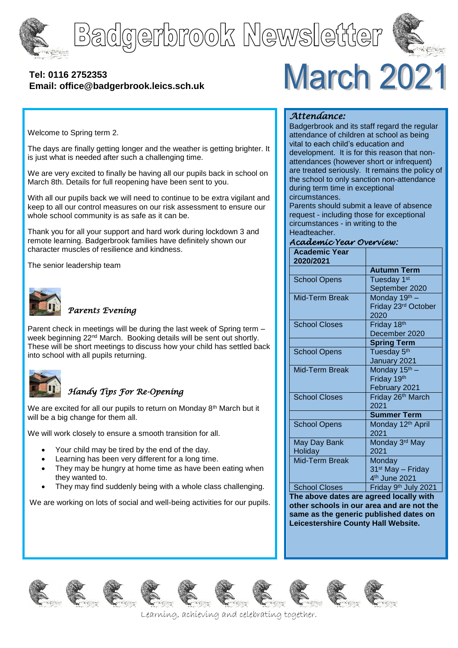





## **[Tel: 0116](tel:0116) 2752353 Email: office@badgerbrook.leics.sch.uk**

# March 2021

Welcome to Spring term 2.

The days are finally getting longer and the weather is getting brighter. It is just what is needed after such a challenging time.

We are very excited to finally be having all our pupils back in school on March 8th. Details for full reopening have been sent to you.

With all our pupils back we will need to continue to be extra vigilant and keep to all our control measures on our risk assessment to ensure our whole school community is as safe as it can be.

Thank you for all your support and hard work during lockdown 3 and remote learning. Badgerbrook families have definitely shown our character muscles of resilience and kindness.

The senior leadership team



#### *Parents Evening*

Parent check in meetings will be during the last week of Spring term – week beginning 22<sup>nd</sup> March. Booking details will be sent out shortly. These will be short meetings to discuss how your child has settled back into school with all pupils returning.



## *Handy Tips For Re-Opening*

We are excited for all our pupils to return on Monday 8<sup>th</sup> March but it will be a big change for them all.

We will work closely to ensure a smooth transition for all.

- Your child may be tired by the end of the day.
- Learning has been very different for a long time.
- They may be hungry at home time as have been eating when they wanted to.
- They may find suddenly being with a whole class challenging.

We are working on lots of social and well-being activities for our pupils.

#### *Attendance:*

Badgerbrook and its staff regard the regular attendance of children at school as being vital to each child's education and development. It is for this reason that nonattendances (however short or infrequent) are treated seriously. It remains the policy of the school to only sanction non-attendance during term time in exceptional circumstances.

Parents should submit a leave of absence request - including those for exceptional circumstances - in writing to the Headteacher.

#### *Academic Year Overview:*

| <b>Academic Year</b><br>2020/2021 |                                  |
|-----------------------------------|----------------------------------|
|                                   | <b>Autumn Term</b>               |
| <b>School Opens</b>               | Tuesday 1st                      |
|                                   | September 2020                   |
| Mid-Term Break                    | Monday 19th -                    |
|                                   | Friday 23rd October              |
|                                   | 2020                             |
| <b>School Closes</b>              | Friday 18th                      |
|                                   | December 2020                    |
|                                   | <b>Spring Term</b>               |
| <b>School Opens</b>               | Tuesday 5 <sup>th</sup>          |
|                                   | January 2021                     |
| Mid-Term Break                    | Monday 15 <sup>th</sup> -        |
|                                   | Friday 19th                      |
|                                   | February 2021                    |
| <b>School Closes</b>              | Friday 26th March                |
|                                   | 2021                             |
|                                   | <b>Summer Term</b>               |
| <b>School Opens</b>               | Monday 12th April                |
|                                   | 2021                             |
| May Day Bank                      | Monday 3rd May                   |
| Holiday                           | 2021                             |
| <b>Mid-Term Break</b>             | Monday                           |
|                                   | 31 <sup>st</sup> May - Friday    |
|                                   | 4 <sup>th</sup> June 2021        |
| <b>School Closes</b>              | Friday 9 <sup>th</sup> July 2021 |

**The above dates are agreed locally with other schools in our area and are not the same as the generic published dates on Leicestershire County Hall Website.**

















Learning, achieving and celebrating together.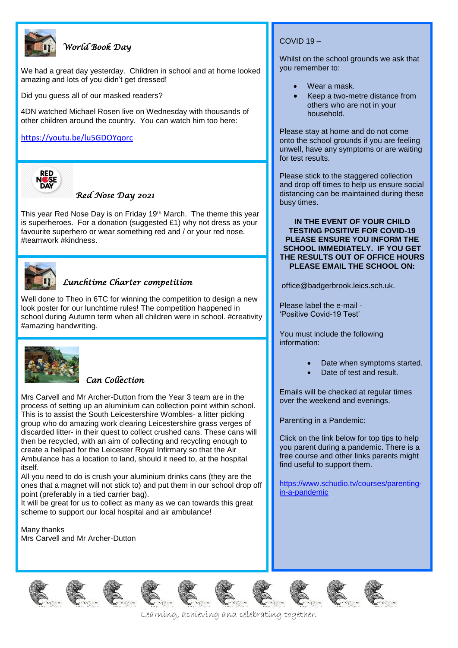

## *World Book Day*

We had a great day yesterday. Children in school and at home looked amazing and lots of you didn't get dressed!

Did you guess all of our masked readers?

4DN watched Michael Rosen live on Wednesday with thousands of other children around the country. You can watch him too here:

#### <https://youtu.be/lu5GDOYqorc>



#### *Red Nose Day 2021*

This year Red Nose Day is on Friday 19<sup>th</sup> March. The theme this year is superheroes. For a donation (suggested £1) why not dress as your favourite superhero or wear something red and / or your red nose. #teamwork #kindness.



## *Lunchtime Charter competition*

Well done to Theo in 6TC for winning the competition to design a new look poster for our lunchtime rules! The competition happened in school during Autumn term when all children were in school. #creativity #amazing handwriting.



#### *Can Collection*

Mrs Carvell and Mr Archer-Dutton from the Year 3 team are in the process of setting up an aluminium can collection point within school. This is to assist the South Leicestershire Wombles- a litter picking group who do amazing work clearing Leicestershire grass verges of discarded litter- in their quest to collect crushed cans. These cans will then be recycled, with an aim of collecting and recycling enough to create a helipad for the Leicester Royal Infirmary so that the Air Ambulance has a location to land, should it need to, at the hospital itself.

All you need to do is crush your aluminium drinks cans (they are the ones that a magnet will not stick to) and put them in our school drop off point (preferably in a tied carrier bag).

It will be great for us to collect as many as we can towards this great scheme to support our local hospital and air ambulance!

Many thanks Mrs Carvell and Mr Archer-Dutton

#### COVID 19 –

Whilst on the school grounds we ask that you remember to:

- Wear a mask.
- Keep a two-metre distance from others who are not in your household.

Please stay at home and do not come onto the school grounds if you are feeling unwell, have any symptoms or are waiting for test results.

Please stick to the staggered collection and drop off times to help us ensure social distancing can be maintained during these busy times.

#### **IN THE EVENT OF YOUR CHILD TESTING POSITIVE FOR COVID-19 PLEASE ENSURE YOU INFORM THE SCHOOL IMMEDIATELY. IF YOU GET THE RESULTS OUT OF OFFICE HOURS PLEASE EMAIL THE SCHOOL ON:**

office@badgerbrook.leics.sch.uk.

Please label the e-mail - 'Positive Covid-19 Test'

You must include the following information:

- Date when symptoms started.
- Date of test and result.

Emails will be checked at regular times over the weekend and evenings.

Parenting in a Pandemic:

Click on the link below for top tips to help you parent during a pandemic. There is a free course and other links parents might find useful to support them.

[https://www.schudio.tv/courses/parenting](https://www.schudio.tv/courses/parenting-in-a-pandemic)[in-a-pandemic](https://www.schudio.tv/courses/parenting-in-a-pandemic)





Learning, achieving and celebrating together.